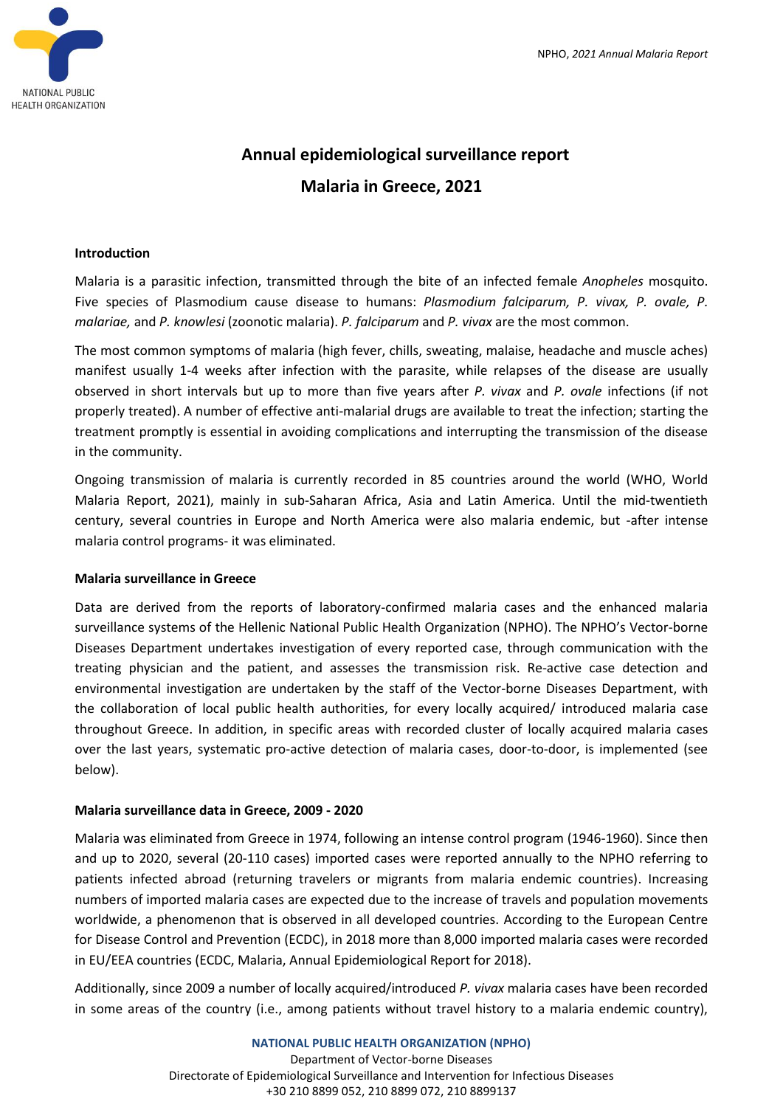

# **Annual epidemiological surveillance report Malaria in Greece, 2021**

### **Introduction**

Malaria is a parasitic infection, transmitted through the bite of an infected female *Anopheles* mosquito. Five species of Plasmodium cause disease to humans: *Plasmodium falciparum, P. vivax, P. ovale, P. malariae,* and *P. knowlesi* (zoonotic malaria). *P. falciparum* and *P. vivax* are the most common.

The most common symptoms of malaria (high fever, chills, sweating, malaise, headache and muscle aches) manifest usually 1-4 weeks after infection with the parasite, while relapses of the disease are usually observed in short intervals but up to more than five years after *P. vivax* and *P. ovale* infections (if not properly treated). A number of effective anti-malarial drugs are available to treat the infection; starting the treatment promptly is essential in avoiding complications and interrupting the transmission of the disease in the community.

Ongoing transmission of malaria is currently recorded in 85 countries around the world (WHO, World Malaria Report, 2021), mainly in sub-Saharan Africa, Asia and Latin America. Until the mid-twentieth century, several countries in Europe and North America were also malaria endemic, but -after intense malaria control programs- it was eliminated.

## **Malaria surveillance in Greece**

Data are derived from the reports of laboratory-confirmed malaria cases and the enhanced malaria surveillance systems of the Hellenic National Public Health Organization (NPHO). The NPHO's Vector-borne Diseases Department undertakes investigation of every reported case, through communication with the treating physician and the patient, and assesses the transmission risk. Re-active case detection and environmental investigation are undertaken by the staff of the Vector-borne Diseases Department, with the collaboration of local public health authorities, for every locally acquired/ introduced malaria case throughout Greece. In addition, in specific areas with recorded cluster of locally acquired malaria cases over the last years, systematic pro-active detection of malaria cases, door-to-door, is implemented (see below).

## **Malaria surveillance data in Greece, 2009 - 2020**

Malaria was eliminated from Greece in 1974, following an intense control program (1946-1960). Since then and up to 2020, several (20-110 cases) imported cases were reported annually to the NPHO referring to patients infected abroad (returning travelers or migrants from malaria endemic countries). Increasing numbers of imported malaria cases are expected due to the increase of travels and population movements worldwide, a phenomenon that is observed in all developed countries. According to the European Centre for Disease Control and Prevention (ECDC), in 2018 more than 8,000 imported malaria cases were recorded in EU/EEA countries (ECDC, Malaria, Annual Epidemiological Report for 2018).

Additionally, since 2009 a number of locally acquired/introduced *P. vivax* malaria cases have been recorded in some areas of the country (i.e., among patients without travel history to a malaria endemic country),

### **NATIONAL PUBLIC HEALTH ORGANIZATION (NPHO)** Department of Vector-borne Diseases Directorate of Epidemiological Surveillance and Intervention for Infectious Diseases +30 210 8899 052, 210 8899 072, 210 8899137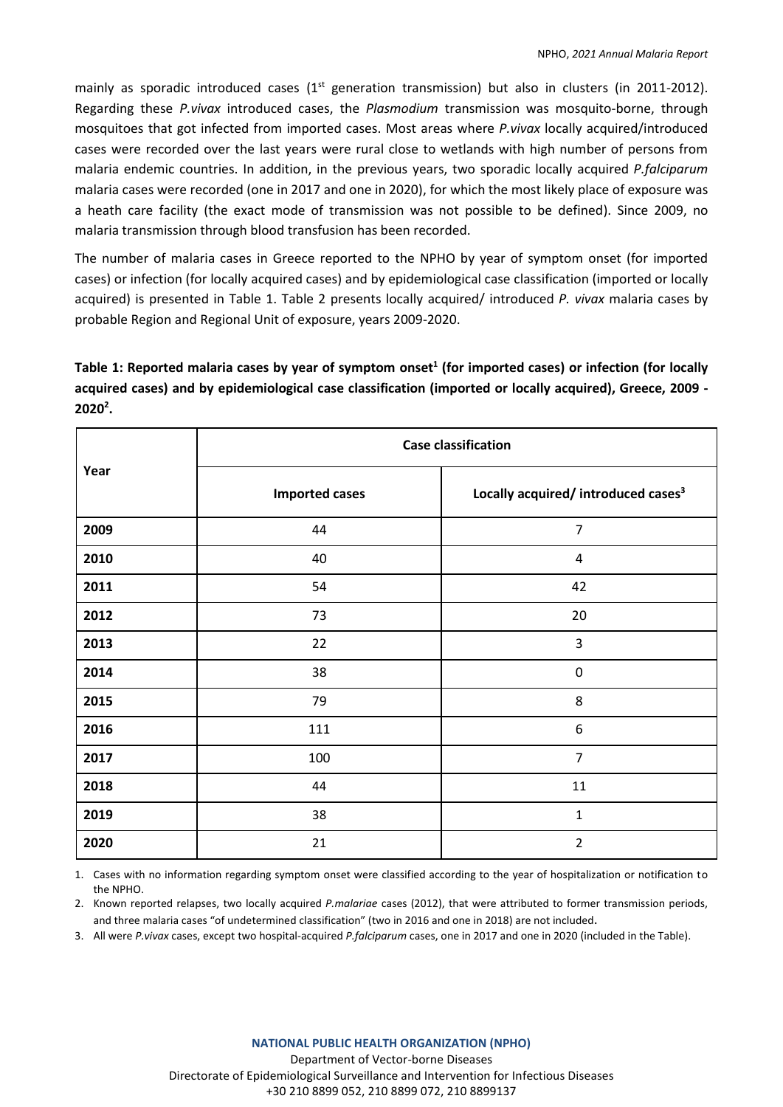mainly as sporadic introduced cases  $(1<sup>st</sup>$  generation transmission) but also in clusters (in 2011-2012). Regarding these *P.vivax* introduced cases, the *Plasmodium* transmission was mosquito-borne, through mosquitoes that got infected from imported cases. Most areas where *P.vivax* locally acquired/introduced cases were recorded over the last years were rural close to wetlands with high number of persons from malaria endemic countries. In addition, in the previous years, two sporadic locally acquired *P.falciparum* malaria cases were recorded (one in 2017 and one in 2020), for which the most likely place of exposure was a heath care facility (the exact mode of transmission was not possible to be defined). Since 2009, no malaria transmission through blood transfusion has been recorded.

The number of malaria cases in Greece reported to the NPHO by year of symptom onset (for imported cases) or infection (for locally acquired cases) and by epidemiological case classification (imported or locally acquired) is presented in Table 1. Table 2 presents locally acquired/ introduced *P. vivax* malaria cases by probable Region and Regional Unit of exposure, years 2009-2020.

Table 1: Reported malaria cases by year of symptom onset<sup>1</sup> (for imported cases) or infection (for locally **acquired cases) and by epidemiological case classification (imported or locally acquired), Greece, 2009 - 2020<sup>2</sup> .**

| Year | <b>Case classification</b> |                                                 |  |  |  |  |
|------|----------------------------|-------------------------------------------------|--|--|--|--|
|      | <b>Imported cases</b>      | Locally acquired/ introduced cases <sup>3</sup> |  |  |  |  |
| 2009 | 44                         | $\overline{7}$                                  |  |  |  |  |
| 2010 | 40                         | 4                                               |  |  |  |  |
| 2011 | 54                         | 42                                              |  |  |  |  |
| 2012 | 73                         | 20                                              |  |  |  |  |
| 2013 | 22                         | 3                                               |  |  |  |  |
| 2014 | 38                         | $\pmb{0}$                                       |  |  |  |  |
| 2015 | 79                         | 8                                               |  |  |  |  |
| 2016 | 111                        | $\boldsymbol{6}$                                |  |  |  |  |
| 2017 | 100                        | $\overline{7}$                                  |  |  |  |  |
| 2018 | 44                         | 11                                              |  |  |  |  |
| 2019 | 38                         | $\mathbf{1}$                                    |  |  |  |  |
| 2020 | 21                         | $\overline{2}$                                  |  |  |  |  |

1. Cases with no information regarding symptom onset were classified according to the year of hospitalization or notification to the NPHO.

2. Known reported relapses, two locally acquired *P.malariae* cases (2012), that were attributed to former transmission periods, and three malaria cases "of undetermined classification" (two in 2016 and one in 2018) are not included.

3. All were *P.vivax* cases, except two hospital-acquired *P.falciparum* cases, one in 2017 and one in 2020 (included in the Table).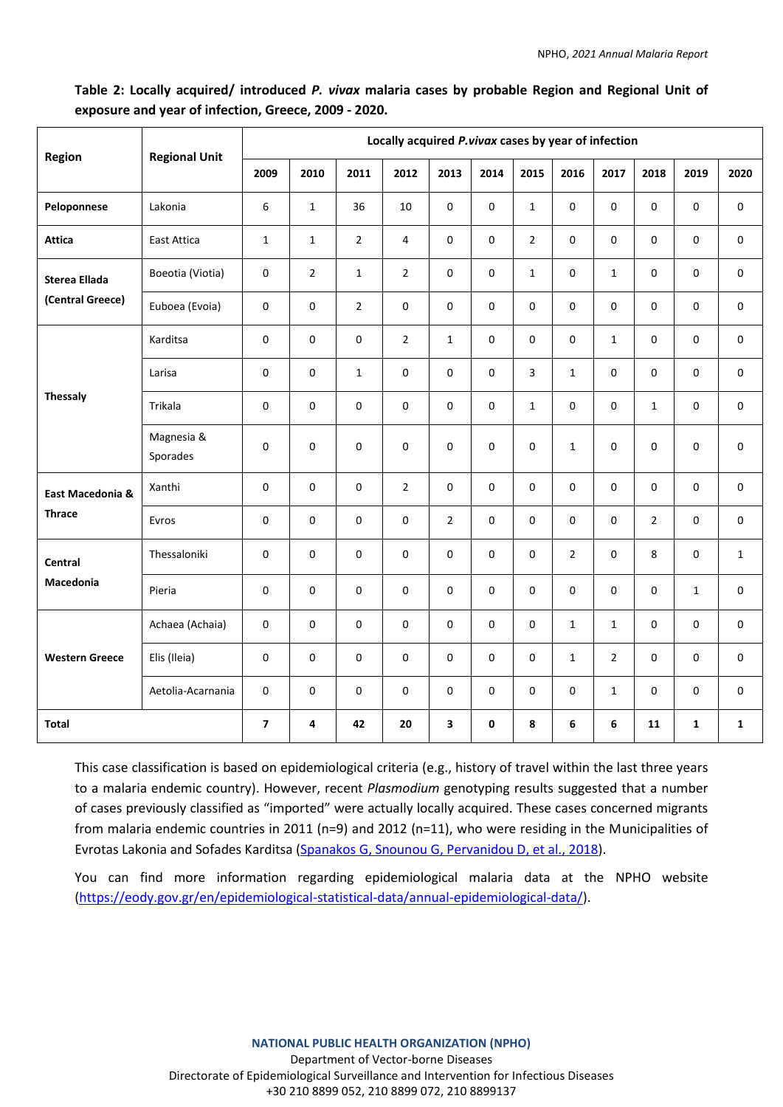# **Table 2: Locally acquired/ introduced** *P. vivax* **malaria cases by probable Region and Regional Unit of exposure and year of infection, Greece, 2009 - 2020.**

| <b>Region</b>                            | <b>Regional Unit</b>   | Locally acquired P.vivax cases by year of infection |                |                |                |                |      |                     |                |                |                |              |                     |
|------------------------------------------|------------------------|-----------------------------------------------------|----------------|----------------|----------------|----------------|------|---------------------|----------------|----------------|----------------|--------------|---------------------|
|                                          |                        | 2009                                                | 2010           | 2011           | 2012           | 2013           | 2014 | 2015                | 2016           | 2017           | 2018           | 2019         | 2020                |
| Peloponnese                              | Lakonia                | 6                                                   | $\mathbf{1}$   | 36             | 10             | $\mathbf 0$    | 0    | $\mathbf{1}$        | $\mathsf 0$    | 0              | $\mathsf 0$    | 0            | $\mathbf 0$         |
| <b>Attica</b>                            | East Attica            | $\mathbf{1}$                                        | $\mathbf{1}$   | $\overline{2}$ | $\overline{4}$ | $\mathbf 0$    | 0    | $\overline{2}$      | $\Omega$       | $\mathbf 0$    | $\Omega$       | $\mathbf 0$  | $\mathsf 0$         |
| <b>Sterea Ellada</b><br>(Central Greece) | Boeotia (Viotia)       | $\mathbf 0$                                         | $\overline{2}$ | $\mathbf{1}$   | $\overline{2}$ | 0              | 0    | $\mathbf{1}$        | $\mathsf 0$    | $\mathbf{1}$   | $\mathsf 0$    | 0            | 0                   |
|                                          | Euboea (Evoia)         | $\mathbf 0$                                         | 0              | $\overline{2}$ | $\mathsf 0$    | 0              | 0    | $\mathbf 0$         | $\mathsf 0$    | 0              | $\mathbf 0$    | 0            | 0                   |
| <b>Thessaly</b>                          | Karditsa               | $\mathbf 0$                                         | 0              | $\mathbf 0$    | $\overline{2}$ | $\mathbf{1}$   | 0    | $\mathbf 0$         | $\mathsf 0$    | $\mathbf{1}$   | $\mathsf 0$    | $\mathbf 0$  | $\mathbf 0$         |
|                                          | Larisa                 | $\mathbf 0$                                         | 0              | $\mathbf{1}$   | $\mathsf 0$    | $\mathbf 0$    | 0    | 3                   | $\mathbf{1}$   | $\mathbf 0$    | $\mathsf 0$    | $\pmb{0}$    | $\mathbf 0$         |
|                                          | Trikala                | $\mathbf 0$                                         | 0              | $\mathbf 0$    | $\mathsf 0$    | $\mathbf 0$    | 0    | $\mathbf{1}$        | $\mathsf 0$    | $\mathbf 0$    | $\mathbf 1$    | $\pmb{0}$    | $\mathsf 0$         |
|                                          | Magnesia &<br>Sporades | 0                                                   | 0              | $\mathbf 0$    | 0              | $\mathbf 0$    | 0    | $\Omega$            | $\mathbf{1}$   | $\mathbf 0$    | $\mathbf 0$    | 0            | $\mathsf 0$         |
| East Macedonia &<br><b>Thrace</b>        | Xanthi                 | 0                                                   | 0              | 0              | $\overline{2}$ | 0              | 0    | 0                   | $\mathbf 0$    | 0              | $\mathbf 0$    | 0            | $\mathsf{O}\xspace$ |
|                                          | Evros                  | 0                                                   | 0              | $\mathbf 0$    | $\mathsf 0$    | $\overline{2}$ | 0    | 0                   | $\mathbf 0$    | 0              | $\overline{2}$ | 0            | $\mathsf{O}\xspace$ |
| Central<br><b>Macedonia</b>              | Thessaloniki           | 0                                                   | 0              | 0              | $\mathsf 0$    | $\pmb{0}$      | 0    | $\mathsf{O}\xspace$ | $\overline{2}$ | $\pmb{0}$      | 8              | 0            | $\mathbf{1}$        |
|                                          | Pieria                 | 0                                                   | 0              | 0              | 0              | 0              | 0    | 0                   | $\mathbf 0$    | $\mathbf 0$    | $\mathbf 0$    | $\mathbf{1}$ | 0                   |
| <b>Western Greece</b>                    | Achaea (Achaia)        | 0                                                   | 0              | $\mathbf 0$    | $\mathsf 0$    | $\mathbf 0$    | 0    | 0                   | $\mathbf{1}$   | $\mathbf{1}$   | $\mathbf 0$    | 0            | 0                   |
|                                          | Elis (Ileia)           | $\mathbf 0$                                         | 0              | $\mathbf 0$    | 0              | 0              | 0    | 0                   | $\mathbf{1}$   | $\overline{2}$ | $\mathbf 0$    | 0            | 0                   |
|                                          | Aetolia-Acarnania      | 0                                                   | 0              | $\mathbf 0$    | $\mathsf 0$    | 0              | 0    | 0                   | $\mathbf 0$    | $\mathbf{1}$   | $\mathbf 0$    | 0            | 0                   |
| <b>Total</b>                             |                        | $\overline{ }$                                      | 4              | 42             | 20             | 3              | 0    | 8                   | 6              | 6              | 11             | $\mathbf{1}$ | $\mathbf{1}$        |

This case classification is based on epidemiological criteria (e.g., history of travel within the last three years to a malaria endemic country). However, recent *Plasmodium* genotyping results suggested that a number of cases previously classified as "imported" were actually locally acquired. These cases concerned migrants from malaria endemic countries in 2011 (n=9) and 2012 (n=11), who were residing in the Municipalities of Evrotas Lakonia and Sofades Karditsa [\(Spanakos G, Snounou G, Pervanidou D, et al., 2018\)](https://wwwnc.cdc.gov/eid/article/24/3/17-0605_article).

You can find more information regarding epidemiological malaria data at the NPHO website [\(https://eody.gov.gr/en/epidemiological-statistical-data/annual-epidemiological-data/\)](https://eody.gov.gr/en/epidemiological-statistical-data/annual-epidemiological-data/).

> **NATIONAL PUBLIC HEALTH ORGANIZATION (NPHO)** Department of Vector-borne Diseases Directorate of Epidemiological Surveillance and Intervention for Infectious Diseases +30 210 8899 052, 210 8899 072, 210 8899137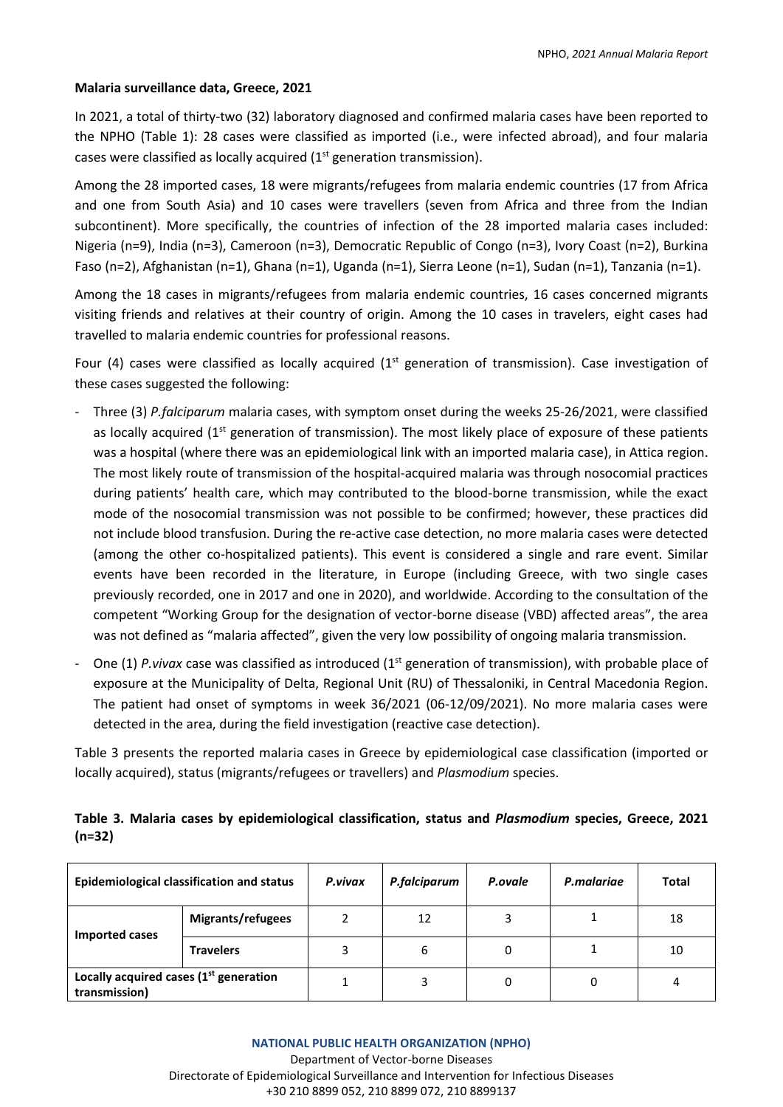## **Malaria surveillance data, Greece, 2021**

In 2021, a total of thirty-two (32) laboratory diagnosed and confirmed malaria cases have been reported to the NPHO (Table 1): 28 cases were classified as imported (i.e., were infected abroad), and four malaria cases were classified as locally acquired (1<sup>st</sup> generation transmission).

Among the 28 imported cases, 18 were migrants/refugees from malaria endemic countries (17 from Africa and one from South Asia) and 10 cases were travellers (seven from Africa and three from the Indian subcontinent). More specifically, the countries of infection of the 28 imported malaria cases included: Nigeria (n=9), India (n=3), Cameroon (n=3), Democratic Republic of Congo (n=3), Ivory Coast (n=2), Burkina Faso (n=2), Afghanistan (n=1), Ghana (n=1), Uganda (n=1), Sierra Leone (n=1), Sudan (n=1), Tanzania (n=1).

Among the 18 cases in migrants/refugees from malaria endemic countries, 16 cases concerned migrants visiting friends and relatives at their country of origin. Among the 10 cases in travelers, eight cases had travelled to malaria endemic countries for professional reasons.

Four (4) cases were classified as locally acquired ( $1<sup>st</sup>$  generation of transmission). Case investigation of these cases suggested the following:

- Three (3) *P.falciparum* malaria cases, with symptom onset during the weeks 25-26/2021, were classified as locally acquired ( $1<sup>st</sup>$  generation of transmission). The most likely place of exposure of these patients was a hospital (where there was an epidemiological link with an imported malaria case), in Attica region. The most likely route of transmission of the hospital-acquired malaria was through nosocomial practices during patients' health care, which may contributed to the blood-borne transmission, while the exact mode of the nosocomial transmission was not possible to be confirmed; however, these practices did not include blood transfusion. During the re-active case detection, no more malaria cases were detected (among the other co-hospitalized patients). This event is considered a single and rare event. Similar events have been recorded in the literature, in Europe (including Greece, with two single cases previously recorded, one in 2017 and one in 2020), and worldwide. According to the consultation of the competent "Working Group for the designation of vector-borne disease (VBD) affected areas", the area was not defined as "malaria affected", given the very low possibility of ongoing malaria transmission.
- One (1) *P.vivax* case was classified as introduced (1<sup>st</sup> generation of transmission), with probable place of exposure at the Municipality of Delta, Regional Unit (RU) of Thessaloniki, in Central Macedonia Region. The patient had onset of symptoms in week 36/2021 (06-12/09/2021). No more malaria cases were detected in the area, during the field investigation (reactive case detection).

Table 3 presents the reported malaria cases in Greece by epidemiological case classification (imported or locally acquired), status (migrants/refugees or travellers) and *Plasmodium* species.

# **Table 3. Malaria cases by epidemiological classification, status and** *Plasmodium* **species, Greece, 2021 (n=32)**

| Epidemiological classification and status                           |                   | P.vivax | P.falciparum | P.ovale | P.malariae | <b>Total</b> |  |
|---------------------------------------------------------------------|-------------------|---------|--------------|---------|------------|--------------|--|
| Imported cases                                                      | Migrants/refugees |         | 12           |         |            | 18           |  |
|                                                                     | <b>Travelers</b>  |         | 6            |         |            | 10           |  |
| Locally acquired cases (1 <sup>st</sup> generation<br>transmission) |                   |         |              | 0       | 0          | 4            |  |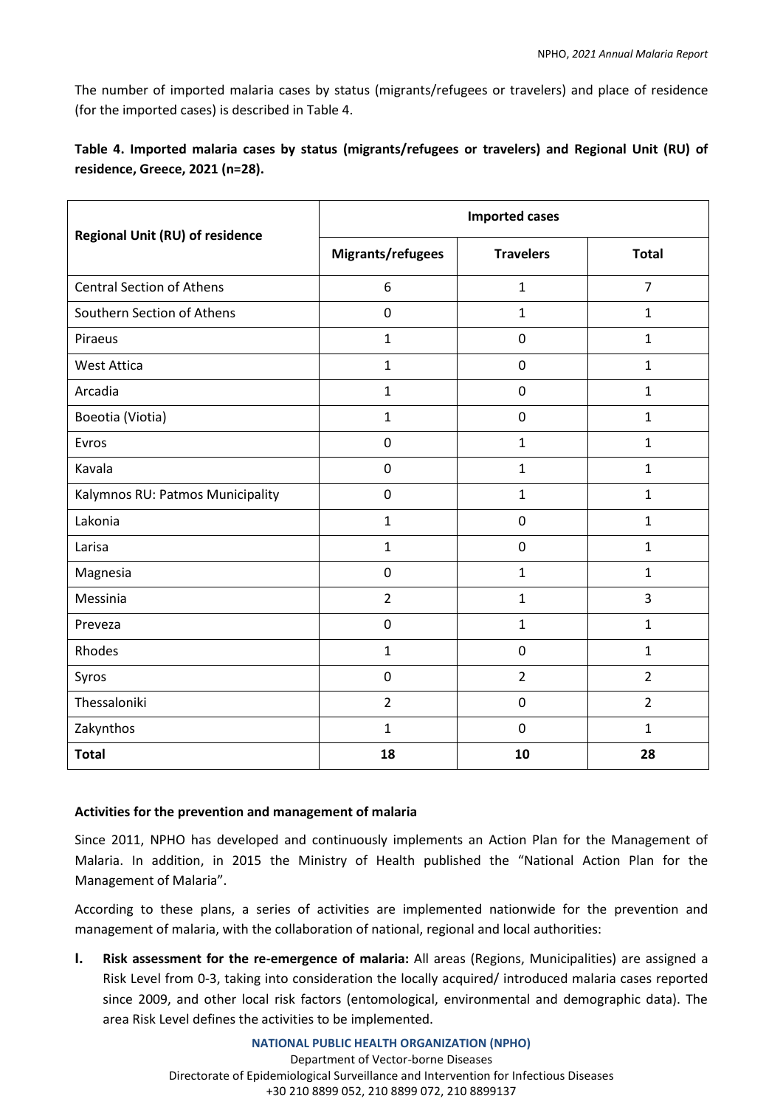The number of imported malaria cases by status (migrants/refugees or travelers) and place of residence (for the imported cases) is described in Table 4.

# **Table 4. Imported malaria cases by status (migrants/refugees or travelers) and Regional Unit (RU) of residence, Greece, 2021 (n=28).**

|                                  | <b>Imported cases</b> |                  |                |  |  |  |
|----------------------------------|-----------------------|------------------|----------------|--|--|--|
| Regional Unit (RU) of residence  | Migrants/refugees     | <b>Travelers</b> | <b>Total</b>   |  |  |  |
| <b>Central Section of Athens</b> | 6                     | $\mathbf{1}$     | $\overline{7}$ |  |  |  |
| Southern Section of Athens       | 0                     | 1                | $\mathbf{1}$   |  |  |  |
| Piraeus                          | $\mathbf{1}$          | $\mathbf 0$      | $\mathbf{1}$   |  |  |  |
| <b>West Attica</b>               | $\mathbf{1}$          | $\mathbf 0$      | $\mathbf{1}$   |  |  |  |
| Arcadia                          | $\mathbf{1}$          | $\mathbf 0$      | $\mathbf{1}$   |  |  |  |
| Boeotia (Viotia)                 | $\mathbf{1}$          | $\mathbf 0$      | $\mathbf{1}$   |  |  |  |
| Evros                            | 0                     | $\mathbf{1}$     | $\mathbf{1}$   |  |  |  |
| Kavala                           | $\mathbf 0$           | $\mathbf{1}$     | $\mathbf{1}$   |  |  |  |
| Kalymnos RU: Patmos Municipality | 0                     | $\mathbf{1}$     | $\mathbf{1}$   |  |  |  |
| Lakonia                          | $\mathbf{1}$          | $\mathbf 0$      | $\mathbf{1}$   |  |  |  |
| Larisa                           | $\mathbf{1}$          | $\pmb{0}$        | $\mathbf 1$    |  |  |  |
| Magnesia                         | 0                     | $\mathbf{1}$     | $\mathbf{1}$   |  |  |  |
| Messinia                         | $\overline{2}$        | $\mathbf{1}$     | 3              |  |  |  |
| Preveza                          | 0                     | $\mathbf{1}$     | $\mathbf{1}$   |  |  |  |
| Rhodes                           | $\mathbf{1}$          | $\mathbf 0$      | $\mathbf{1}$   |  |  |  |
| Syros                            | $\mathbf 0$           | $\overline{2}$   | $\overline{2}$ |  |  |  |
| Thessaloniki                     | $\overline{2}$        | $\mathbf 0$      | $\overline{2}$ |  |  |  |
| Zakynthos                        | $\mathbf{1}$          | $\pmb{0}$        | $\mathbf 1$    |  |  |  |
| <b>Total</b>                     | 18                    | 10               | 28             |  |  |  |

# **Activities for the prevention and management of malaria**

Since 2011, NPHO has developed and continuously implements an Action Plan for the Management of Malaria. In addition, in 2015 the Ministry of Health published the "National Action Plan for the Management of Malaria".

According to these plans, a series of activities are implemented nationwide for the prevention and management of malaria, with the collaboration of national, regional and local authorities:

**I. Risk assessment for the re-emergence of malaria:** All areas (Regions, Municipalities) are assigned a Risk Level from 0-3, taking into consideration the locally acquired/ introduced malaria cases reported since 2009, and other local risk factors (entomological, environmental and demographic data). The area Risk Level defines the activities to be implemented.

### **NATIONAL PUBLIC HEALTH ORGANIZATION (NPHO)**

Department of Vector-borne Diseases Directorate of Epidemiological Surveillance and Intervention for Infectious Diseases +30 210 8899 052, 210 8899 072, 210 8899137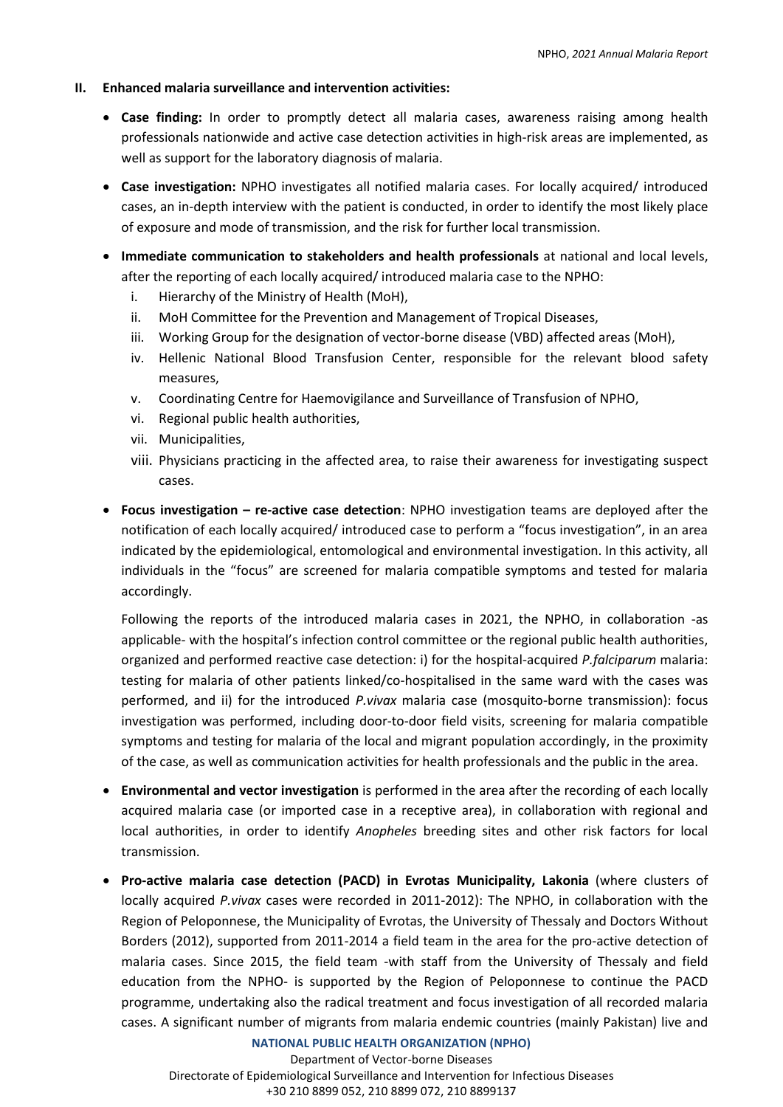# **II. Enhanced malaria surveillance and intervention activities:**

- **Case finding:** In order to promptly detect all malaria cases, awareness raising among health professionals nationwide and active case detection activities in high-risk areas are implemented, as well as support for the laboratory diagnosis of malaria.
- **Case investigation:** NPHO investigates all notified malaria cases. For locally acquired/ introduced cases, an in-depth interview with the patient is conducted, in order to identify the most likely place of exposure and mode of transmission, and the risk for further local transmission.
- **Immediate communication to stakeholders and health professionals** at national and local levels, after the reporting of each locally acquired/ introduced malaria case to the NPHO:
	- i. Hierarchy of the Ministry of Health (MoH),
	- ii. MoH Committee for the Prevention and Management of Tropical Diseases,
	- iii. Working Group for the designation of vector-borne disease (VBD) affected areas (MoH),
	- iv. Hellenic National Blood Transfusion Center, responsible for the relevant blood safety measures,
	- v. Coordinating Centre for Haemovigilance and Surveillance of Transfusion of NPHO,
	- vi. Regional public health authorities,
	- vii. Municipalities,
	- viii. Physicians practicing in the affected area, to raise their awareness for investigating suspect cases.
- **Focus investigation – re-active case detection**: NPHO investigation teams are deployed after the notification of each locally acquired/ introduced case to perform a "focus investigation", in an area indicated by the epidemiological, entomological and environmental investigation. In this activity, all individuals in the "focus" are screened for malaria compatible symptoms and tested for malaria accordingly.

Following the reports of the introduced malaria cases in 2021, the NPHO, in collaboration -as applicable- with the hospital's infection control committee or the regional public health authorities, organized and performed reactive case detection: i) for the hospital-acquired *P.falciparum* malaria: testing for malaria of other patients linked/co-hospitalised in the same ward with the cases was performed, and ii) for the introduced *P.vivax* malaria case (mosquito-borne transmission): focus investigation was performed, including door-to-door field visits, screening for malaria compatible symptoms and testing for malaria of the local and migrant population accordingly, in the proximity of the case, as well as communication activities for health professionals and the public in the area.

- **Environmental and vector investigation** is performed in the area after the recording of each locally acquired malaria case (or imported case in a receptive area), in collaboration with regional and local authorities, in order to identify *Anopheles* breeding sites and other risk factors for local transmission.
- **Pro-active malaria case detection (PACD) in Evrotas Municipality, Lakonia** (where clusters of locally acquired *P.vivax* cases were recorded in 2011-2012): The NPHO, in collaboration with the Region of Peloponnese, the Municipality of Evrotas, the University of Thessaly and Doctors Without Borders (2012), supported from 2011-2014 a field team in the area for the pro-active detection of malaria cases. Since 2015, the field team -with staff from the University of Thessaly and field education from the NPHO- is supported by the Region of Peloponnese to continue the PACD programme, undertaking also the radical treatment and focus investigation of all recorded malaria cases. A significant number of migrants from malaria endemic countries (mainly Pakistan) live and

### **NATIONAL PUBLIC HEALTH ORGANIZATION (NPHO)**

Department of Vector-borne Diseases Directorate of Epidemiological Surveillance and Intervention for Infectious Diseases +30 210 8899 052, 210 8899 072, 210 8899137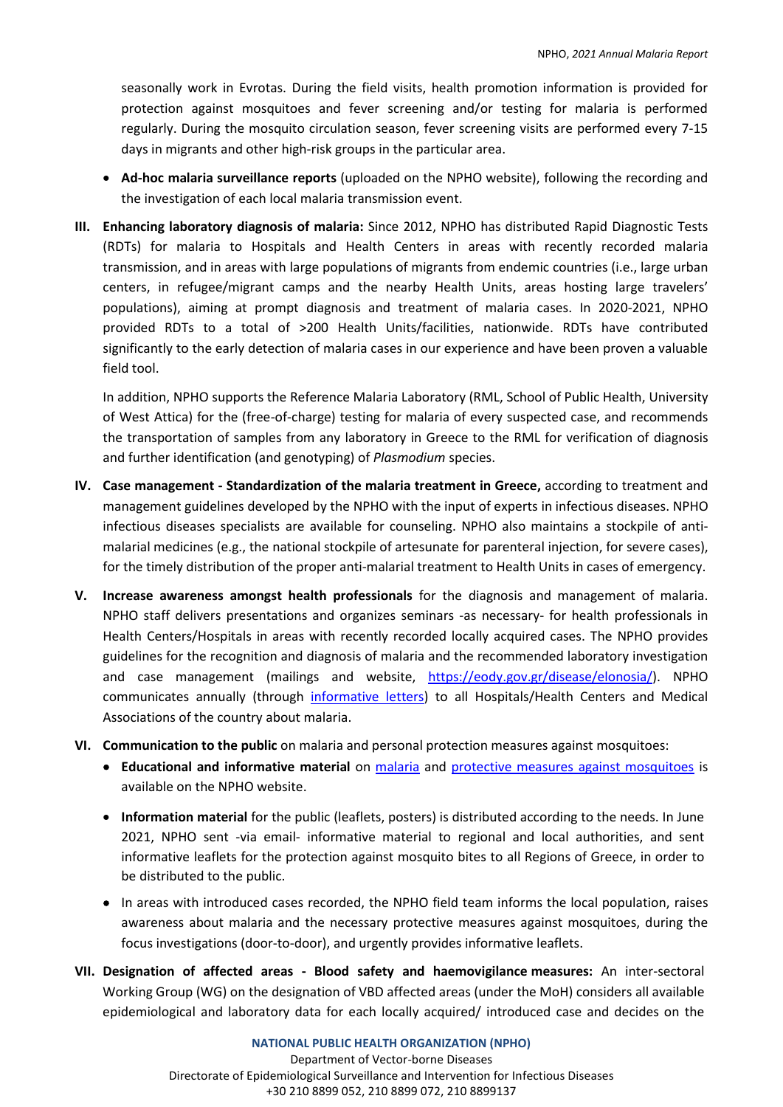seasonally work in Evrotas. During the field visits, health promotion information is provided for protection against mosquitoes and fever screening and/or testing for malaria is performed regularly. During the mosquito circulation season, fever screening visits are performed every 7-15 days in migrants and other high-risk groups in the particular area.

- **Ad-hoc malaria surveillance reports** (uploaded on the NPHO website), following the recording and the investigation of each local malaria transmission event.
- **III. Enhancing laboratory diagnosis of malaria:** Since 2012, NPHO has distributed Rapid Diagnostic Tests (RDTs) for malaria to Hospitals and Health Centers in areas with recently recorded malaria transmission, and in areas with large populations of migrants from endemic countries (i.e., large urban centers, in refugee/migrant camps and the nearby Health Units, areas hosting large travelers' populations), aiming at prompt diagnosis and treatment of malaria cases. In 2020-2021, NPHO provided RDTs to a total of >200 Health Units/facilities, nationwide. RDTs have contributed significantly to the early detection of malaria cases in our experience and have been proven a valuable field tool.

In addition, NPHO supports the Reference Malaria Laboratory (RML, School of Public Health, University of West Attica) for the (free-of-charge) testing for malaria of every suspected case, and recommends the transportation of samples from any laboratory in Greece to the RML for verification of diagnosis and further identification (and genotyping) of *Plasmodium* species.

- **IV. Case management - Standardization of the malaria treatment in Greece,** according to treatment and management guidelines developed by the NPHO with the input of experts in infectious diseases. NPHO infectious diseases specialists are available for counseling. NPHO also maintains a stockpile of antimalarial medicines (e.g., the national stockpile of artesunate for parenteral injection, for severe cases), for the timely distribution of the proper anti-malarial treatment to Health Units in cases of emergency.
- **V. Increase awareness amongst health professionals** for the diagnosis and management of malaria. NPHO staff delivers presentations and organizes seminars -as necessary- for health professionals in Health Centers/Hospitals in areas with recently recorded locally acquired cases. The NPHO provides guidelines for the recognition and diagnosis of malaria and the recommended laboratory investigation and case management (mailings and website, [https://eody.gov.gr/disease/elonosia/\)](https://eody.gov.gr/disease/elonosia/). NPHO communicates annually (through [informative letters\)](https://eody.gov.gr/wp-content/uploads/2019/01/enimerosi-iatron-elonosia-2021.pdf) to all Hospitals/Health Centers and Medical Associations of the country about malaria.
- **VI. Communication to the public** on malaria and personal protection measures against mosquitoes:
	- **Educational and informative material** on [malaria](https://eody.gov.gr/en/disease/malaria/) and [protective measures against mosquitoes](https://eody.gov.gr/wp-content/uploads/2019/04/mosquito_brochure_2019.pdf) is available on the NPHO website.
	- **Information material** for the public (leaflets, posters) is distributed according to the needs. In June 2021, NPHO sent -via email- informative material to regional and local authorities, and sent informative leaflets for the protection against mosquito bites to all Regions of Greece, in order to be distributed to the public.
	- In areas with introduced cases recorded, the NPHO field team informs the local population, raises awareness about malaria and the necessary protective measures against mosquitoes, during the focus investigations (door-to-door), and urgently provides informative leaflets.
- **VII. Designation of affected areas - Blood safety and haemovigilance measures:** An inter-sectoral Working Group (WG) on the designation of VBD affected areas (under the MoH) considers all available epidemiological and laboratory data for each locally acquired/ introduced case and decides on the

**NATIONAL PUBLIC HEALTH ORGANIZATION (NPHO)** Department of Vector-borne Diseases Directorate of Epidemiological Surveillance and Intervention for Infectious Diseases +30 210 8899 052, 210 8899 072, 210 8899137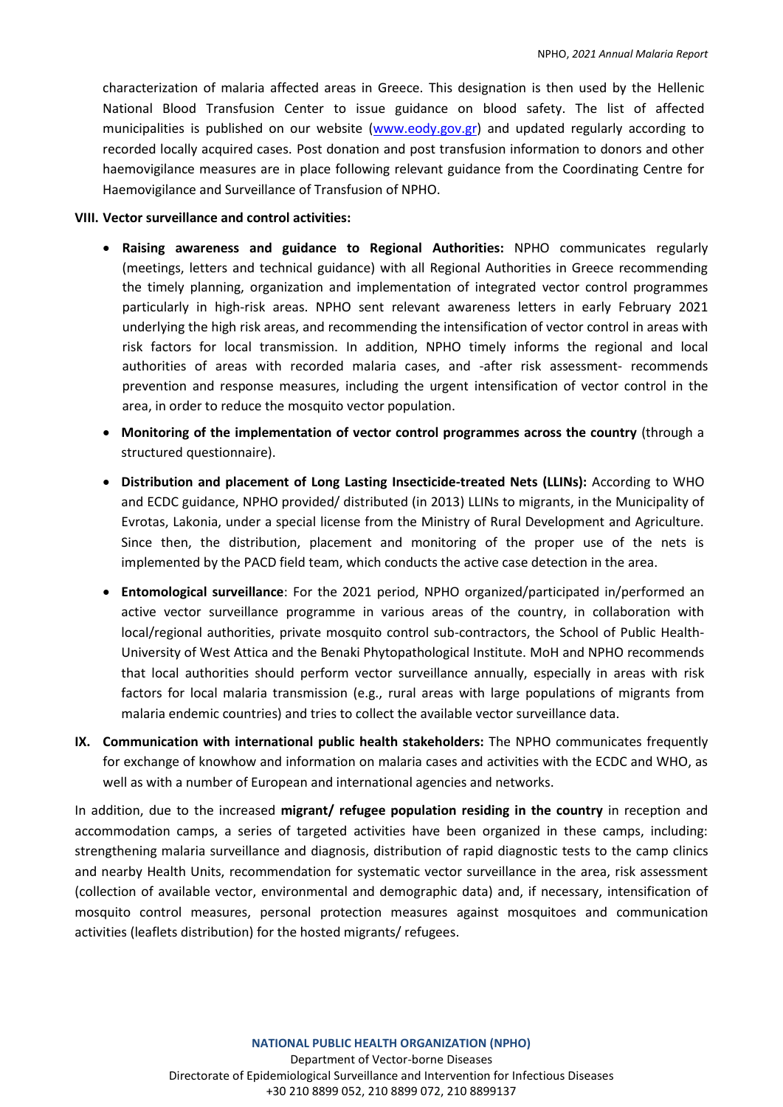characterization of malaria affected areas in Greece. This designation is then used by the Hellenic National Blood Transfusion Center to issue guidance on blood safety. The list of affected municipalities is published on our website [\(www.eody.gov.gr\)](http://www.eody.gov.gr/) and updated regularly according to recorded locally acquired cases. Post donation and post transfusion information to donors and other haemovigilance measures are in place following relevant guidance from the Coordinating Centre for Haemovigilance and Surveillance of Transfusion of NPHO.

### **VIII. Vector surveillance and control activities:**

- **Raising awareness and guidance to Regional Authorities:** NPHO communicates regularly (meetings, letters and technical guidance) with all Regional Authorities in Greece recommending the timely planning, organization and implementation of integrated vector control programmes particularly in high-risk areas. NPHO sent relevant awareness letters in early February 2021 underlying the high risk areas, and recommending the intensification of vector control in areas with risk factors for local transmission. In addition, NPHO timely informs the regional and local authorities of areas with recorded malaria cases, and -after risk assessment- recommends prevention and response measures, including the urgent intensification of vector control in the area, in order to reduce the mosquito vector population.
- **Monitoring of the implementation of vector control programmes across the country** (through a structured questionnaire).
- **Distribution and placement of Long Lasting Insecticide-treated Nets (LLINs):** According to WHO and ECDC guidance, NPHO provided/ distributed (in 2013) LLINs to migrants, in the Municipality of Evrotas, Lakonia, under a special license from the Ministry of Rural Development and Agriculture. Since then, the distribution, placement and monitoring of the proper use of the nets is implemented by the PACD field team, which conducts the active case detection in the area.
- **Entomological surveillance**: For the 2021 period, NPHO organized/participated in/performed an active vector surveillance programme in various areas of the country, in collaboration with local/regional authorities, private mosquito control sub-contractors, the School of Public Health-University of West Attica and the Benaki Phytopathological Institute. MoH and NPHO recommends that local authorities should perform vector surveillance annually, especially in areas with risk factors for local malaria transmission (e.g., rural areas with large populations of migrants from malaria endemic countries) and tries to collect the available vector surveillance data.
- **IX. Communication with international public health stakeholders:** The NPHO communicates frequently for exchange of knowhow and information on malaria cases and activities with the ECDC and WHO, as well as with a number of European and international agencies and networks.

In addition, due to the increased **migrant/ refugee population residing in the country** in reception and accommodation camps, a series of targeted activities have been organized in these camps, including: strengthening malaria surveillance and diagnosis, distribution of rapid diagnostic tests to the camp clinics and nearby Health Units, recommendation for systematic vector surveillance in the area, risk assessment (collection of available vector, environmental and demographic data) and, if necessary, intensification of mosquito control measures, personal protection measures against mosquitoes and communication activities (leaflets distribution) for the hosted migrants/ refugees.